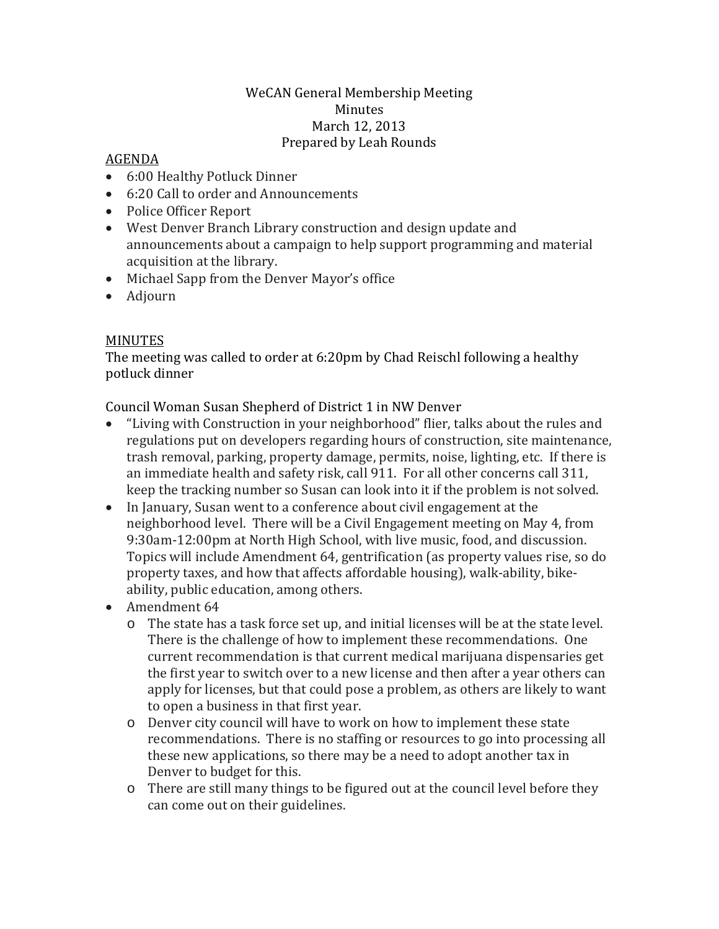## WeCAN General Membership Meeting Minutes March 12, 2013 Prepared by Leah Rounds

## AGENDA

- 6:00 Healthy Potluck Dinner
- 6:20 Call to order and Announcements
- Police Officer Report
- West Denver Branch Library construction and design update and announcements about a campaign to help support programming and material acquisition at the library.
- Michael Sapp from the Denver Mayor's office
- Adjourn

## MINUTES

The meeting was called to order at 6:20pm by Chad Reischl following a healthy potluck dinner

Council Woman Susan Shepherd of District 1 in NW Denver

- "Living with Construction in your neighborhood" flier, talks about the rules and regulations put on developers regarding hours of construction, site maintenance, trash removal, parking, property damage, permits, noise, lighting, etc. If there is an immediate health and safety risk, call 911. For all other concerns call 311, keep the tracking number so Susan can look into it if the problem is not solved.
- In January, Susan went to a conference about civil engagement at the neighborhood level. There will be a Civil Engagement meeting on May 4, from 9:30am-12:00pm at North High School, with live music, food, and discussion. Topics will include Amendment 64, gentrification (as property values rise, so do property taxes, and how that affects affordable housing), walk-ability, bikeability, public education, among others.
- Amendment 64
	- o The state has a task force set up, and initial licenses will be at the state level. There is the challenge of how to implement these recommendations. One current recommendation is that current medical marijuana dispensaries get the first year to switch over to a new license and then after a year others can apply for licenses, but that could pose a problem, as others are likely to want to open a business in that first year.
	- o Denver city council will have to work on how to implement these state recommendations. There is no staffing or resources to go into processing all these new applications, so there may be a need to adopt another tax in Denver to budget for this.
	- o There are still many things to be figured out at the council level before they can come out on their guidelines.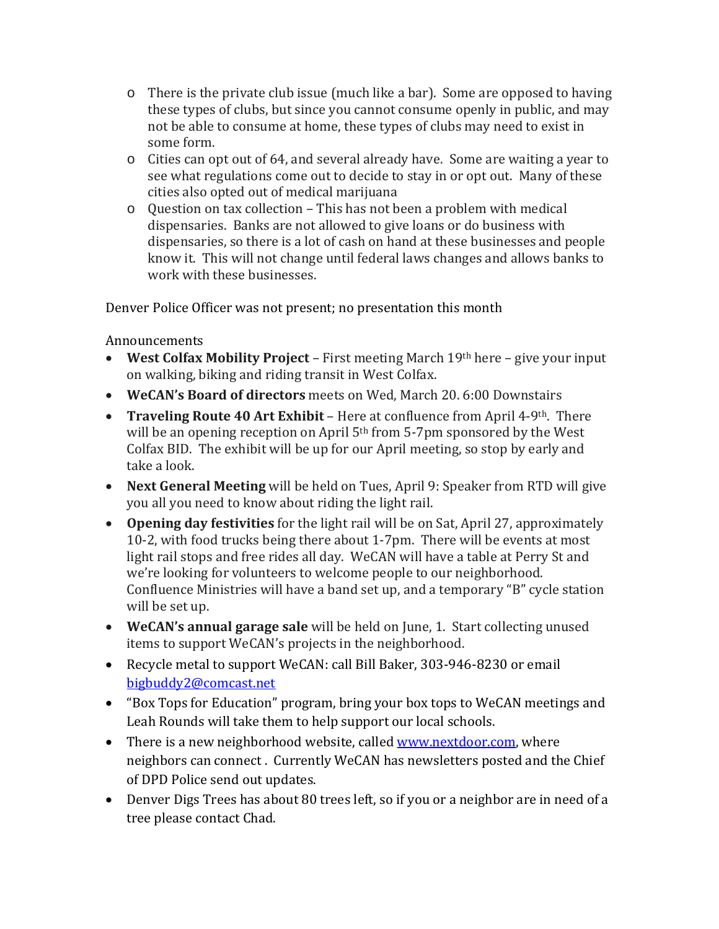- o There is the private club issue (much like a bar). Some are opposed to having these types of clubs, but since you cannot consume openly in public, and may not be able to consume at home, these types of clubs may need to exist in some form.
- o Cities can opt out of 64, and several already have. Some are waiting a year to see what regulations come out to decide to stay in or opt out. Many of these cities also opted out of medical marijuana
- o Question on tax collection This has not been a problem with medical dispensaries. Banks are not allowed to give loans or do business with dispensaries, so there is a lot of cash on hand at these businesses and people know it. This will not change until federal laws changes and allows banks to work with these businesses.

Denver Police Officer was not present; no presentation this month

Announcements

- **West Colfax Mobility Project** First meeting March 19th here give your input on walking, biking and riding transit in West Colfax.
- **WeCAN's Board of directors** meets on Wed, March 20. 6:00 Downstairs
- **Traveling Route 40 Art Exhibit** Here at confluence from April 4-9th. There will be an opening reception on April 5<sup>th</sup> from 5-7pm sponsored by the West Colfax BID. The exhibit will be up for our April meeting, so stop by early and take a look.
- **Next General Meeting** will be held on Tues, April 9: Speaker from RTD will give you all you need to know about riding the light rail.
- **Opening day festivities** for the light rail will be on Sat, April 27, approximately 10-2, with food trucks being there about 1-7pm. There will be events at most light rail stops and free rides all day. WeCAN will have a table at Perry St and we're looking for volunteers to welcome people to our neighborhood. Confluence Ministries will have a band set up, and a temporary "B" cycle station will be set up.
- **WeCAN's annual garage sale** will be held on June, 1. Start collecting unused items to support WeCAN's projects in the neighborhood.
- Recycle metal to support WeCAN: call Bill Baker, 303-946-8230 or email [bigbuddy2@comcast.net](mailto:bigbuddy2@comcast.net)
- "Box Tops for Education" program, bring your box tops to WeCAN meetings and Leah Rounds will take them to help support our local schools.
- There is a new neighborhood website, called [www.nextdoor.com,](http://www.nextdoor.com/) where neighbors can connect . Currently WeCAN has newsletters posted and the Chief of DPD Police send out updates.
- Denver Digs Trees has about 80 trees left, so if you or a neighbor are in need of a tree please contact Chad.